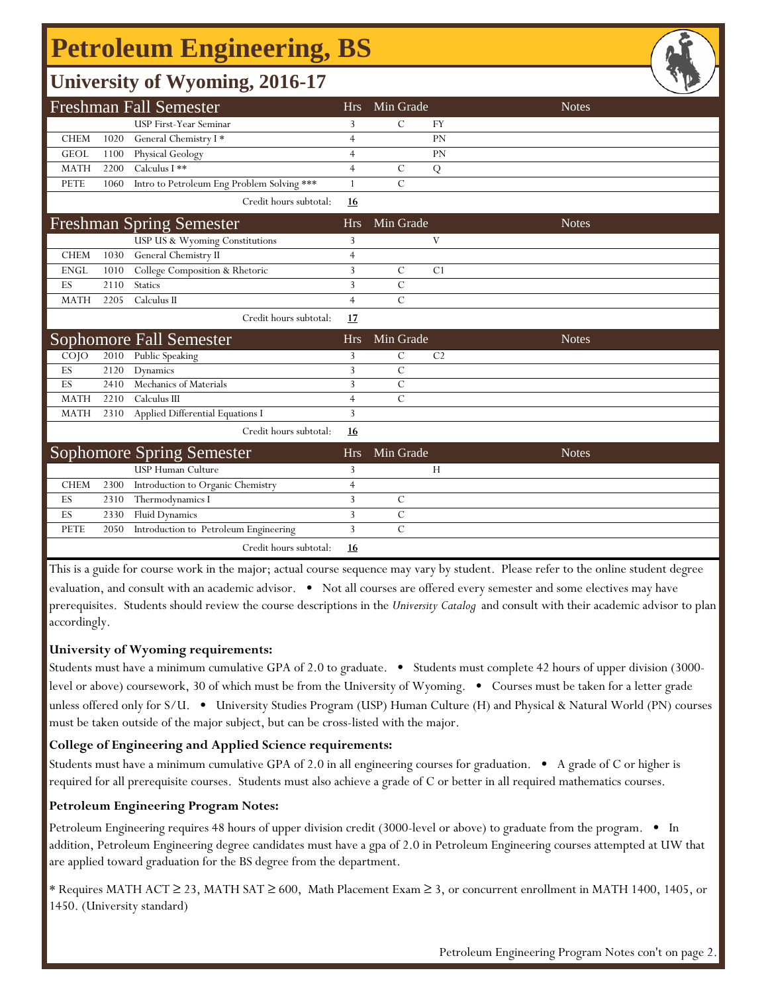# **Petroleum Engineering, BS**

| <b>University of Wyoming, 2016-17</b> |      |                                            |                |               |                |              |  |  |  |  |  |
|---------------------------------------|------|--------------------------------------------|----------------|---------------|----------------|--------------|--|--|--|--|--|
|                                       |      | <b>Freshman Fall Semester</b>              | <b>Hrs</b>     | Min Grade     |                | <b>Notes</b> |  |  |  |  |  |
|                                       |      | USP First-Year Seminar                     | 3              | $\mathcal{C}$ | <b>FY</b>      |              |  |  |  |  |  |
| <b>CHEM</b>                           | 1020 | General Chemistry I*                       | $\overline{4}$ |               | PN             |              |  |  |  |  |  |
| <b>GEOL</b>                           | 1100 | Physical Geology                           | $\overline{4}$ |               | PN             |              |  |  |  |  |  |
| <b>MATH</b>                           | 2200 | Calculus I **                              | $\overline{4}$ | $\mathcal{C}$ | ${\bf Q}$      |              |  |  |  |  |  |
| <b>PETE</b>                           | 1060 | Intro to Petroleum Eng Problem Solving *** | $\mathbf{1}$   | $\mathsf C$   |                |              |  |  |  |  |  |
|                                       |      | Credit hours subtotal:                     | 16             |               |                |              |  |  |  |  |  |
|                                       |      | <b>Freshman Spring Semester</b>            | <b>Hrs</b>     | Min Grade     |                | <b>Notes</b> |  |  |  |  |  |
|                                       |      | USP US & Wyoming Constitutions             | 3              |               | V              |              |  |  |  |  |  |
| <b>CHEM</b>                           | 1030 | General Chemistry II                       | $\overline{4}$ |               |                |              |  |  |  |  |  |
| <b>ENGL</b>                           | 1010 | College Composition & Rhetoric             | 3              | $\mathcal{C}$ | C1             |              |  |  |  |  |  |
| ES                                    | 2110 | <b>Statics</b>                             | 3              | $\mathcal{C}$ |                |              |  |  |  |  |  |
| <b>MATH</b>                           | 2205 | Calculus II                                | $\overline{4}$ | $\mathcal{C}$ |                |              |  |  |  |  |  |
|                                       |      | Credit hours subtotal:                     | 17             |               |                |              |  |  |  |  |  |
| Sophomore Fall Semester               |      |                                            | <b>Hrs</b>     | Min Grade     |                | <b>Notes</b> |  |  |  |  |  |
| COJO                                  | 2010 | Public Speaking                            | 3              | $\mathcal{C}$ | C <sub>2</sub> |              |  |  |  |  |  |
| ES                                    | 2120 | Dynamics                                   | 3              | $\mathcal{C}$ |                |              |  |  |  |  |  |
| ES                                    | 2410 | Mechanics of Materials                     | 3              | $\mathcal{C}$ |                |              |  |  |  |  |  |
| <b>MATH</b>                           | 2210 | Calculus III                               | $\overline{4}$ | $\mathbf C$   |                |              |  |  |  |  |  |
| <b>MATH</b>                           | 2310 | Applied Differential Equations I           | 3              |               |                |              |  |  |  |  |  |
|                                       |      | Credit hours subtotal:                     | 16             |               |                |              |  |  |  |  |  |
| <b>Sophomore Spring Semester</b>      |      |                                            | <b>Hrs</b>     | Min Grade     |                | <b>Notes</b> |  |  |  |  |  |
|                                       |      | <b>USP Human Culture</b>                   | 3              |               | H              |              |  |  |  |  |  |
| <b>CHEM</b>                           | 2300 | Introduction to Organic Chemistry          | $\overline{4}$ |               |                |              |  |  |  |  |  |
| ES                                    | 2310 | Thermodynamics I                           | 3              | $\mathcal{C}$ |                |              |  |  |  |  |  |
| ES                                    | 2330 | <b>Fluid Dynamics</b>                      | 3              | $\mathcal{C}$ |                |              |  |  |  |  |  |
| <b>PETE</b>                           | 2050 | Introduction to Petroleum Engineering      | 3              | $\mathcal{C}$ |                |              |  |  |  |  |  |
|                                       |      | Credit hours subtotal:                     | 16             |               |                |              |  |  |  |  |  |

This is a guide for course work in the major; actual course sequence may vary by student. Please refer to the online student degree evaluation, and consult with an academic advisor. • Not all courses are offered every semester and some electives may have prerequisites. Students should review the course descriptions in the *University Catalog* and consult with their academic advisor to plan accordingly.

#### **University of Wyoming requirements:**

Students must have a minimum cumulative GPA of 2.0 to graduate. • Students must complete 42 hours of upper division (3000 level or above) coursework, 30 of which must be from the University of Wyoming. • Courses must be taken for a letter grade unless offered only for S/U. • University Studies Program (USP) Human Culture (H) and Physical & Natural World (PN) courses must be taken outside of the major subject, but can be cross-listed with the major.

#### **College of Engineering and Applied Science requirements:**

Students must have a minimum cumulative GPA of 2.0 in all engineering courses for graduation. • A grade of C or higher is required for all prerequisite courses. Students must also achieve a grade of C or better in all required mathematics courses.

#### **Petroleum Engineering Program Notes:**

Petroleum Engineering requires 48 hours of upper division credit (3000-level or above) to graduate from the program. • In addition, Petroleum Engineering degree candidates must have a gpa of 2.0 in Petroleum Engineering courses attempted at UW that are applied toward graduation for the BS degree from the department.

\* Requires MATH ACT ≥ 23, MATH SAT ≥ 600, Math Placement Exam ≥ 3, or concurrent enrollment in MATH 1400, 1405, or 1450. (University standard)